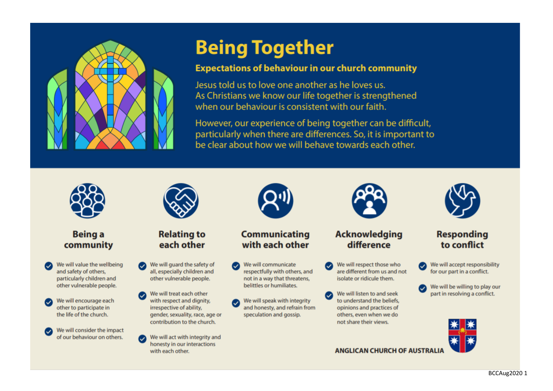

#### **Expectations of behaviour in our church community**

Jesus told us to love one another as he loves us. As Christians we know our life together is strengthened when our behaviour is consistent with our faith.

However, our experience of being together can be difficult, particularly when there are differences. So, it is important to be clear about how we will behave towards each other.



#### **Being a** community

- We will value the wellbeing and safety of others, particularly children and other vulnerable people.
- We will encourage each other to participate in the life of the church.

We will consider the impact of our behaviour on others.



#### **Relating to** each other

- We will guard the safety of all, especially children and other vulnerable people.
- We will treat each other with respect and dignity, irrespective of ability, gender, sexuality, race, age or contribution to the church.
- We will act with integrity and honesty in our interactions with each other.



#### **Communicating** with each other

- We will communicate respectfully with others, and not in a way that threatens, belittles or humiliates.
- We will speak with integrity and honesty, and refrain from speculation and gossip.



#### **Acknowledging** difference

- We will respect those who are different from us and not isolate or ridicule them.
- We will listen to and seek to understand the beliefs. opinions and practices of others, even when we do not share their views.



#### **Responding** to conflict

- We will accept responsibility for our part in a conflict.
- We will be willing to play our part in resolving a conflict.



**ANGLICAN CHURCH OF AUSTRALI**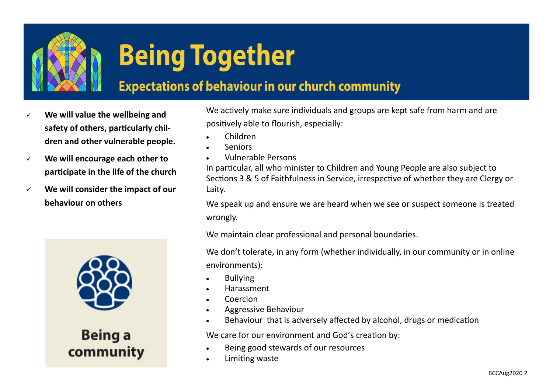

### **Expectations of behaviour in our church community**

- We will value the wellbeing and **safety of others, particularly children and other vulnerable people.**
- ✓ **We will encourage each other to participate in the life of the church**
- ✓ **We will consider the impact of our behaviour on others**



**Being a** community

We actively make sure individuals and groups are kept safe from harm and are positively able to flourish, especially:

- Children
- **Seniors**
- Vulnerable Persons

In particular, all who minister to Children and Young People are also subject to Sections 3 & 5 of Faithfulness in Service, irrespective of whether they are Clergy or Laity.

We speak up and ensure we are heard when we see or suspect someone is treated wrongly.

We maintain clear professional and personal boundaries.

We don't tolerate, in any form (whether individually, in our community or in online environments):

- **Bullying**
- Harassment
- Coercion
- Aggressive Behaviour
- Behaviour that is adversely affected by alcohol, drugs or medication

We care for our environment and God's creation by:

- Being good stewards of our resources
- Limiting waste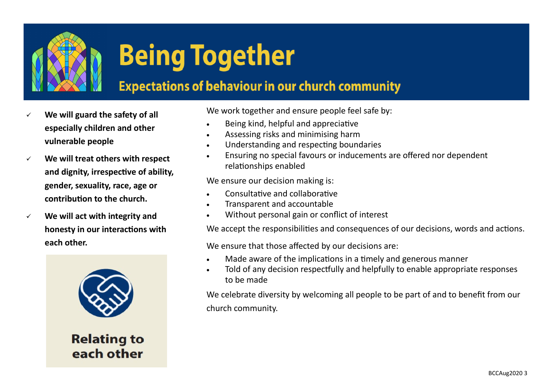

### **Expectations of behaviour in our church community**

- We will guard the safety of all **especially children and other vulnerable people**
- ✓ **We will treat others with respect and dignity, irrespective of ability, gender, sexuality, race, age or contribution to the church.**
- ✓ **We will act with integrity and honesty in our interactions with each other.**



**Relating to** each other

We work together and ensure people feel safe by:

- Being kind, helpful and appreciative
- Assessing risks and minimising harm
- Understanding and respecting boundaries
- Ensuring no special favours or inducements are offered nor dependent relationships enabled

We ensure our decision making is:

- Consultative and collaborative
- Transparent and accountable
- Without personal gain or conflict of interest

We accept the responsibilities and consequences of our decisions, words and actions.

We ensure that those affected by our decisions are:

- Made aware of the implications in a timely and generous manner
- Told of any decision respectfully and helpfully to enable appropriate responses to be made

We celebrate diversity by welcoming all people to be part of and to benefit from our church community.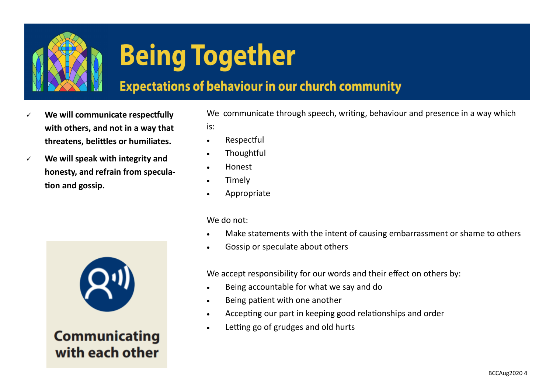

### **Expectations of behaviour in our church community**

- We will communicate respectfully **with others, and not in a way that threatens, belittles or humiliates.**
- ✓ **We will speak with integrity and honesty, and refrain from speculation and gossip.**



### **Communicating** with each other

We communicate through speech, writing, behaviour and presence in a way which is:

- Respectful
- Thoughtful
- Honest
- **Timely**
- Appropriate

We do not:

- Make statements with the intent of causing embarrassment or shame to others
- Gossip or speculate about others

We accept responsibility for our words and their effect on others by:

- Being accountable for what we say and do
- Being patient with one another
- Accepting our part in keeping good relationships and order
- Letting go of grudges and old hurts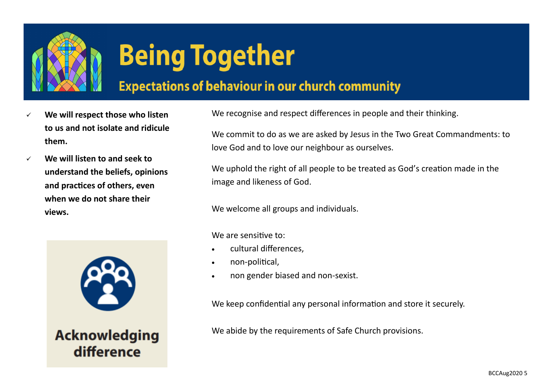

### **Expectations of behaviour in our church community**

- We will respect those who listen **to us and not isolate and ridicule them.**
- ✓ **We will listen to and seek to understand the beliefs, opinions and practices of others, even when we do not share their views.**



**Acknowledging** difference

We recognise and respect differences in people and their thinking.

We commit to do as we are asked by Jesus in the Two Great Commandments: to love God and to love our neighbour as ourselves.

We uphold the right of all people to be treated as God's creation made in the image and likeness of God.

We welcome all groups and individuals.

We are sensitive to:

- cultural differences.
- non-political,
- non gender biased and non-sexist.

We keep confidential any personal information and store it securely.

We abide by the requirements of Safe Church provisions.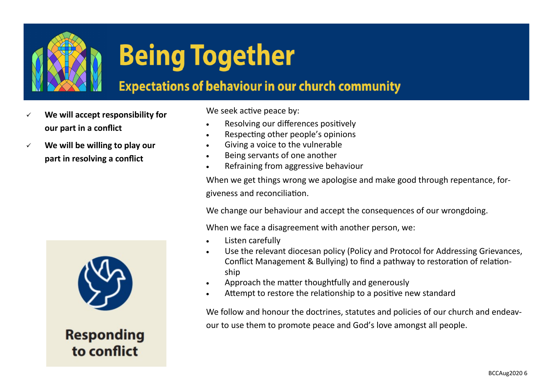

### **Expectations of behaviour in our church community**

- We will accept responsibility for **our part in a conflict**
- ✓ **We will be willing to play our part in resolving a conflict**

**Responding** to conflict

We seek active peace by:

- Resolving our differences positively
- Respecting other people's opinions
- Giving a voice to the vulnerable
- Being servants of one another
- Refraining from aggressive behaviour

When we get things wrong we apologise and make good through repentance, forgiveness and reconciliation.

We change our behaviour and accept the consequences of our wrongdoing.

When we face a disagreement with another person, we:

- Listen carefully
- Use the relevant diocesan policy (Policy and Protocol for Addressing Grievances, Conflict Management & Bullying) to find a pathway to restoration of relationship
- Approach the matter thoughtfully and generously
- Attempt to restore the relationship to a positive new standard

We follow and honour the doctrines, statutes and policies of our church and endeavour to use them to promote peace and God's love amongst all people.